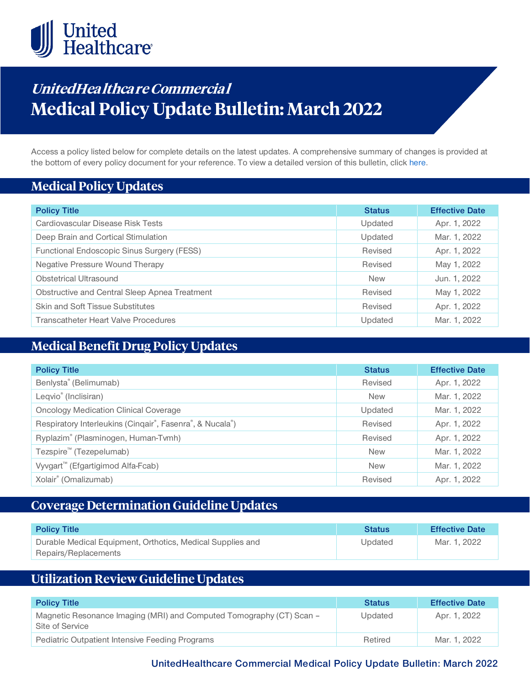

# **UnitedHea lthca re Commercia l Medical Policy Update Bulletin: March 2022**

Access a policy listed below for complete details on the latest updates. A comprehensive summary of changes is provided at the bottom of every policy document for your reference. To view a detailed version of this bulletin, clic[k here.](https://www.uhcprovider.com/content/dam/provider/docs/public/policies/mpub-archives/commercial/medical-policy-update-bulletin-march-2022-full.pdf)

### **Medical Policy Updates**

| <b>Policy Title</b>                           | <b>Status</b> | <b>Effective Date</b> |
|-----------------------------------------------|---------------|-----------------------|
| Cardiovascular Disease Risk Tests             | Updated       | Apr. 1, 2022          |
| Deep Brain and Cortical Stimulation           | Updated       | Mar. 1, 2022          |
| Functional Endoscopic Sinus Surgery (FESS)    | Revised       | Apr. 1, 2022          |
| Negative Pressure Wound Therapy               | Revised       | May 1, 2022           |
| Obstetrical Ultrasound                        | <b>New</b>    | Jun. 1, 2022          |
| Obstructive and Central Sleep Apnea Treatment | Revised       | May 1, 2022           |
| <b>Skin and Soft Tissue Substitutes</b>       | Revised       | Apr. 1, 2022          |
| Transcatheter Heart Valve Procedures          | Updated       | Mar. 1, 2022          |

### **Medical Benefit Drug Policy Updates**

| <b>Policy Title</b>                                      | <b>Status</b> | <b>Effective Date</b> |
|----------------------------------------------------------|---------------|-----------------------|
| Benlysta® (Belimumab)                                    | Revised       | Apr. 1, 2022          |
| Leqvio <sup>®</sup> (Inclisiran)                         | <b>New</b>    | Mar. 1, 2022          |
| <b>Oncology Medication Clinical Coverage</b>             | Updated       | Mar. 1, 2022          |
| Respiratory Interleukins (Cinqair®, Fasenra®, & Nucala®) | Revised       | Apr. 1, 2022          |
| Ryplazim® (Plasminogen, Human-Tvmh)                      | Revised       | Apr. 1, 2022          |
| Tezspire <sup>™</sup> (Tezepelumab)                      | <b>New</b>    | Mar. 1, 2022          |
| Vyvgart <sup>™</sup> (Efgartigimod Alfa-Fcab)            | <b>New</b>    | Mar. 1, 2022          |
| Xolair® (Omalizumab)                                     | Revised       | Apr. 1, 2022          |

### **Coverage Determination Guideline Updates**

| <b>Policy Title</b>                                                                | <b>Status</b> | <b>Effective Date</b> |
|------------------------------------------------------------------------------------|---------------|-----------------------|
| Durable Medical Equipment, Orthotics, Medical Supplies and<br>Repairs/Replacements | Updated       | Mar. 1, 2022          |

## **Utilization Review Guideline Updates**

| <b>Policy Title</b>                                                                     | <b>Status</b> | <b>Effective Date</b> |
|-----------------------------------------------------------------------------------------|---------------|-----------------------|
| Magnetic Resonance Imaging (MRI) and Computed Tomography (CT) Scan -<br>Site of Service | Updated       | Apr. 1, 2022          |
| <b>Pediatric Outpatient Intensive Feeding Programs</b>                                  | Retired       | Mar. 1, 2022          |

**UnitedHealthcare Commercial Medical Policy Update Bulletin: March 2022**